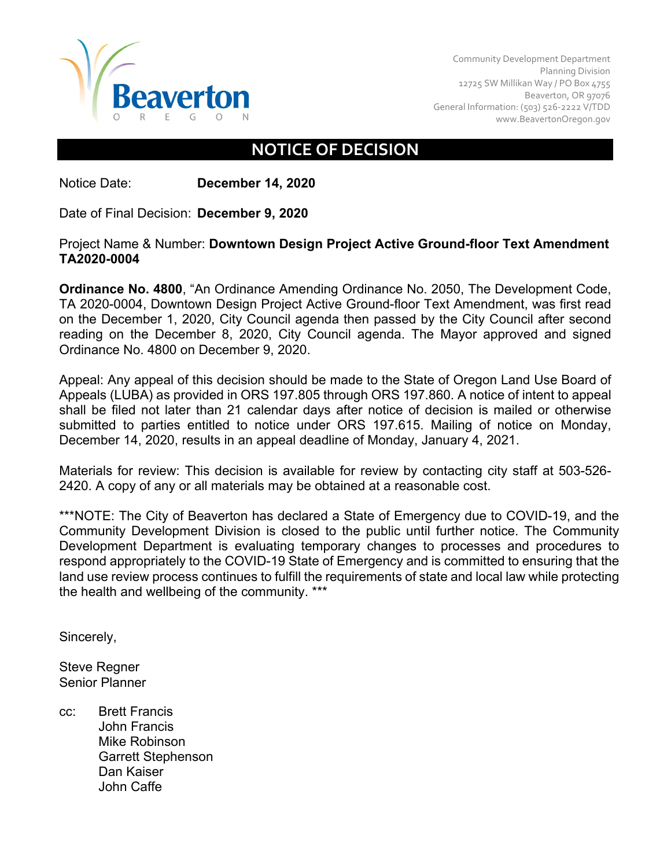

Community Development Department Planning Division 12725 SW Millikan Way / PO Box 4755 Beaverton, OR 97076 General Information: (503) 526-2222 V/TDD [www.BeavertonOregon.gov](http://www.beavertonoregon.gov/)

## **NOTICE OF DECISION**

Notice Date: **December 14, 2020**

Date of Final Decision: **December 9, 2020**

## Project Name & Number: **Downtown Design Project Active Ground-floor Text Amendment TA2020-0004**

**Ordinance No. 4800**, "An Ordinance Amending Ordinance No. 2050, The Development Code, TA 2020-0004, Downtown Design Project Active Ground-floor Text Amendment, was first read on the December 1, 2020, City Council agenda then passed by the City Council after second reading on the December 8, 2020, City Council agenda. The Mayor approved and signed Ordinance No. 4800 on December 9, 2020.

Appeal: Any appeal of this decision should be made to the State of Oregon Land Use Board of Appeals (LUBA) as provided in ORS 197.805 through ORS 197.860. A notice of intent to appeal shall be filed not later than 21 calendar days after notice of decision is mailed or otherwise submitted to parties entitled to notice under ORS 197.615. Mailing of notice on Monday, December 14, 2020, results in an appeal deadline of Monday, January 4, 2021.

Materials for review: This decision is available for review by contacting city staff at 503-526- 2420. A copy of any or all materials may be obtained at a reasonable cost.

\*\*\*NOTE: The City of Beaverton has declared a State of Emergency due to COVID-19, and the Community Development Division is closed to the public until further notice. The Community Development Department is evaluating temporary changes to processes and procedures to respond appropriately to the COVID-19 State of Emergency and is committed to ensuring that the land use review process continues to fulfill the requirements of state and local law while protecting the health and wellbeing of the community. \*\*\*

Sincerely,

Steve Regner Senior Planner

cc: Brett Francis John Francis Mike Robinson Garrett Stephenson Dan Kaiser John Caffe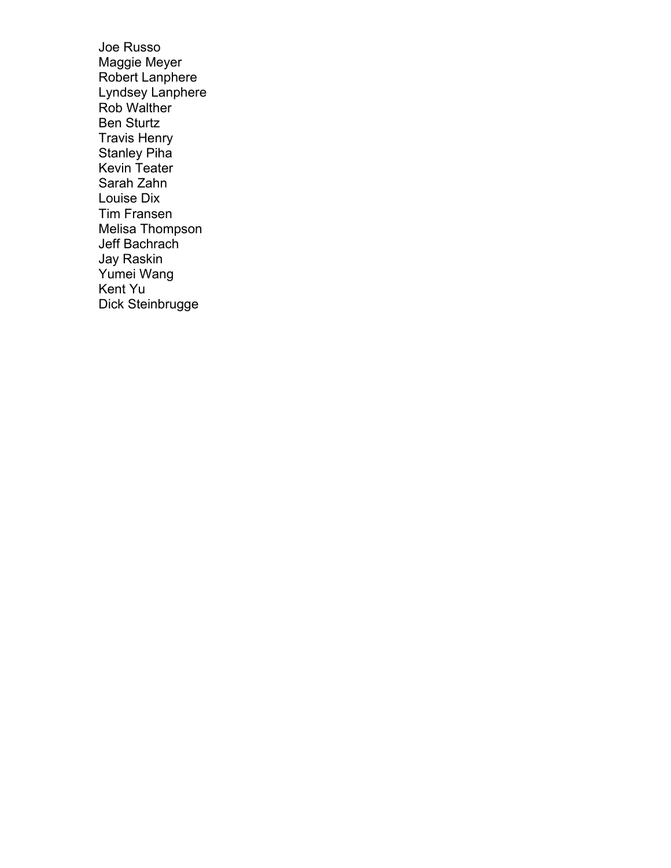Joe Russo Maggie Meyer Robert Lanphere Lyndsey Lanphere Rob Walther Ben Sturtz Travis Henry Stanley Piha Kevin Teater Sarah Zahn Louise Dix Tim Fransen Melisa Thompson Jeff Bachrach Jay Raskin Yumei Wang Kent Yu Dick Steinbrugge